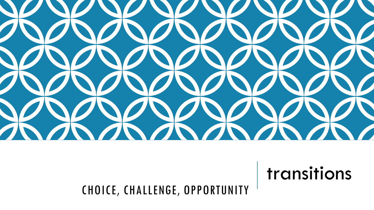

# transitions

CHOICE, CHALLENGE, OPPORTUNITY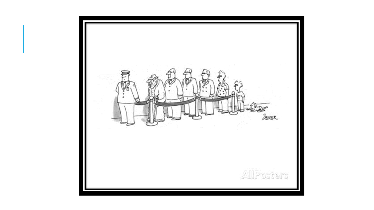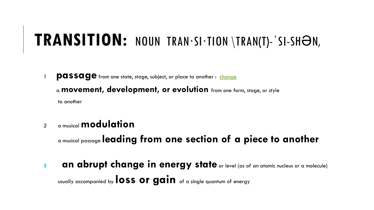## **TRANSITION:** NOUN TRAN·SI·TION \TRAN(T)-ˈSI-SHƏN,

- 1 **passage** from one state, stage, subject, or place to another : *[change](https://www.merriam-webster.com/dictionary/change)* <sup>a</sup>**movement, development, or evolution** from one form, stage, or style to another
- *<sup>2</sup>*a musical **modulation**

a musical passage **leading from one section of a piece to another**

**3 an abrupt change in energy state** or level (as of an atomic nucleus or a molecule) usually accompanied by **loss or gain** of a single quantum of energy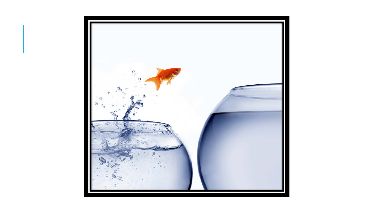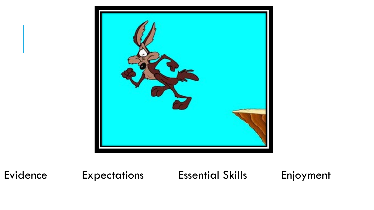

Evidence Expectations Essential Skills Enjoyment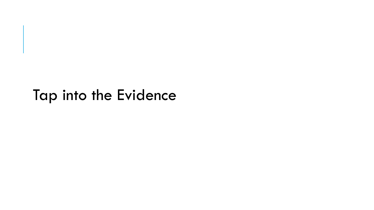### Tap into the Evidence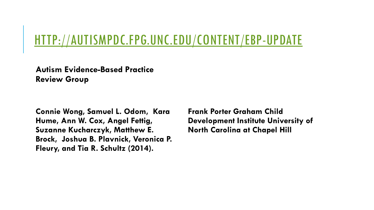#### [HTTP://AUTISMPDC.FPG.UNC.EDU/CONTENT/EBP-UPDATE](http://autismpdc.fpg.unc.edu/content/ebp-update)

**Autism Evidence-Based Practice Review Group** 

**Connie Wong, Samuel L. Odom, Kara Hume, Ann W. Cox, Angel Fettig, Suzanne Kucharczyk, Matthew E. Brock, Joshua B. Plavnick, Veronica P. Fleury, and Tia R. Schultz (2014).** 

**Frank Porter Graham Child Development Institute University of North Carolina at Chapel Hill**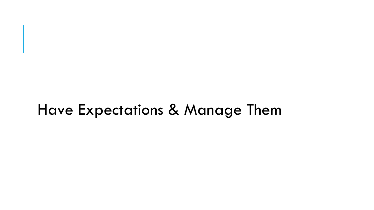#### Have Expectations & Manage Them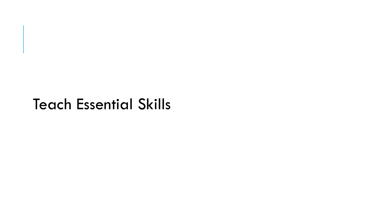### Teach Essential Skills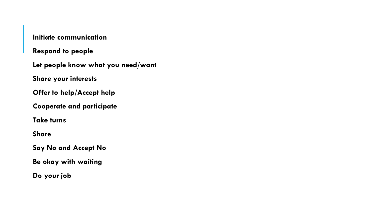#### **Initiate communication**

**Respond to people**

**Let people know what you need/want**

**Share your interests**

**Offer to help/Accept help**

**Cooperate and participate**

**Take turns**

**Share**

**Say No and Accept No**

**Be okay with waiting**

**Do your job**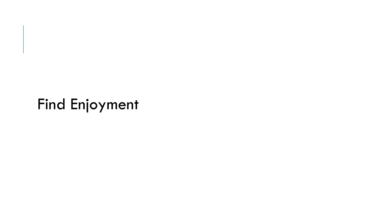## Find Enjoyment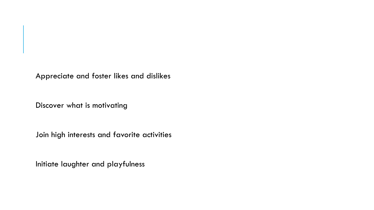Appreciate and foster likes and dislikes

Discover what is motivating

Join high interests and favorite activities

Initiate laughter and playfulness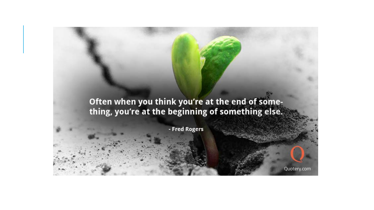#### Often when you think you're at the end of something, you're at the beginning of something else.

- Fred Rogers

Quotery.com